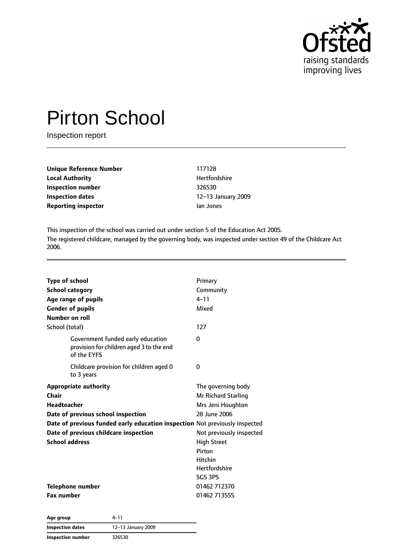

# Pirton School

Inspection report

| Unique Reference Number    | 117128      |
|----------------------------|-------------|
| <b>Local Authority</b>     | Hertford    |
| Inspection number          | 326530      |
| Inspection dates           | $12 - 13$ J |
| <b>Reporting inspector</b> | Jan Jone    |

**Hertfordshire Inspection number** 326530 **Inspection dates** 12–13 January 2009 **Ran Jones** 

This inspection of the school was carried out under section 5 of the Education Act 2005. The registered childcare, managed by the governing body, was inspected under section 49 of the Childcare Act 2006.

| <b>Type of school</b><br><b>School category</b>                                              | Primary<br>Community     |
|----------------------------------------------------------------------------------------------|--------------------------|
| Age range of pupils                                                                          | $4 - 11$                 |
| <b>Gender of pupils</b>                                                                      | Mixed                    |
| Number on roll                                                                               |                          |
| School (total)                                                                               | 127                      |
| Government funded early education<br>provision for children aged 3 to the end<br>of the EYFS | $\Omega$                 |
| Childcare provision for children aged 0<br>to 3 years                                        | 0                        |
| <b>Appropriate authority</b>                                                                 | The governing body       |
| Chair                                                                                        | Mr Richard Starling      |
| <b>Headteacher</b>                                                                           | Mrs Jeni Houghton        |
| Date of previous school inspection                                                           | 28 June 2006             |
| Date of previous funded early education inspection Not previously inspected                  |                          |
| Date of previous childcare inspection                                                        | Not previously inspected |
| <b>School address</b>                                                                        | <b>High Street</b>       |
|                                                                                              | Pirton                   |
|                                                                                              | Hitchin                  |
|                                                                                              | <b>Hertfordshire</b>     |
|                                                                                              | <b>SG5 3PS</b>           |
| <b>Telephone number</b>                                                                      | 01462 712370             |
| <b>Fax number</b>                                                                            | 01462 713555             |

**Age group** 4–11 **Inspection dates** 12–13 January 2009 **Inspection number** 326530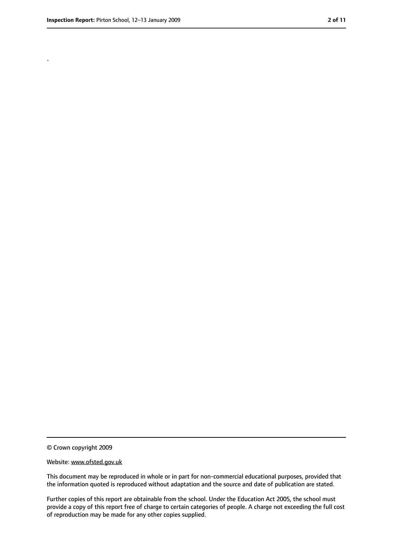.

<sup>©</sup> Crown copyright 2009

Website: www.ofsted.gov.uk

This document may be reproduced in whole or in part for non-commercial educational purposes, provided that the information quoted is reproduced without adaptation and the source and date of publication are stated.

Further copies of this report are obtainable from the school. Under the Education Act 2005, the school must provide a copy of this report free of charge to certain categories of people. A charge not exceeding the full cost of reproduction may be made for any other copies supplied.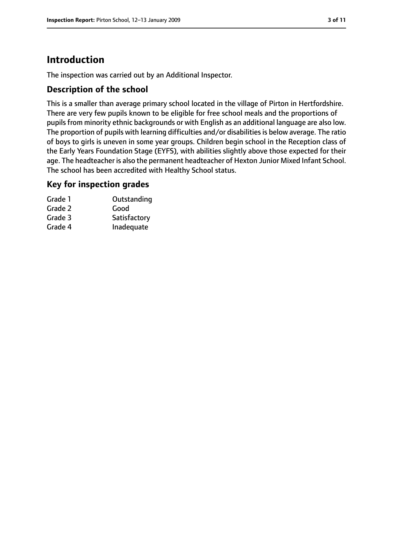# **Introduction**

The inspection was carried out by an Additional Inspector.

## **Description of the school**

This is a smaller than average primary school located in the village of Pirton in Hertfordshire. There are very few pupils known to be eligible for free school meals and the proportions of pupils from minority ethnic backgrounds or with English as an additional language are also low. The proportion of pupils with learning difficulties and/or disabilities is below average. The ratio of boys to girls is uneven in some year groups. Children begin school in the Reception class of the Early Years Foundation Stage (EYFS), with abilities slightly above those expected for their age. The headteacher is also the permanent headteacher of Hexton Junior Mixed Infant School. The school has been accredited with Healthy School status.

#### **Key for inspection grades**

| Grade 1 | Outstanding  |
|---------|--------------|
| Grade 2 | Good         |
| Grade 3 | Satisfactory |
| Grade 4 | Inadequate   |
|         |              |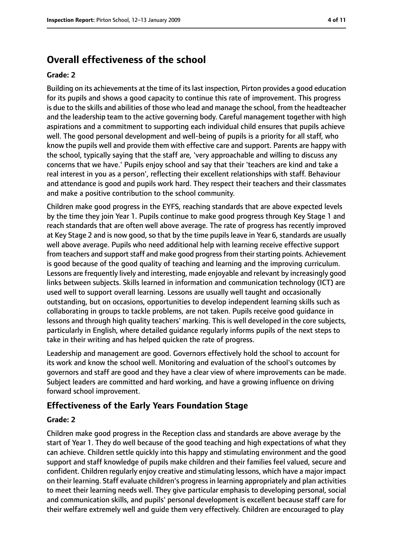# **Overall effectiveness of the school**

#### **Grade: 2**

Building on its achievements at the time of itslast inspection, Pirton provides a good education for its pupils and shows a good capacity to continue this rate of improvement. This progress is due to the skills and abilities of those who lead and manage the school, from the headteacher and the leadership team to the active governing body. Careful management together with high aspirations and a commitment to supporting each individual child ensures that pupils achieve well. The good personal development and well-being of pupils is a priority for all staff, who know the pupils well and provide them with effective care and support. Parents are happy with the school, typically saying that the staff are, 'very approachable and willing to discuss any concerns that we have.' Pupils enjoy school and say that their 'teachers are kind and take a real interest in you as a person', reflecting their excellent relationships with staff. Behaviour and attendance is good and pupils work hard. They respect their teachers and their classmates and make a positive contribution to the school community.

Children make good progress in the EYFS, reaching standards that are above expected levels by the time they join Year 1. Pupils continue to make good progress through Key Stage 1 and reach standards that are often well above average. The rate of progress has recently improved at Key Stage 2 and is now good, so that by the time pupils leave in Year 6, standards are usually well above average. Pupils who need additional help with learning receive effective support from teachers and support staff and make good progress from their starting points. Achievement is good because of the good quality of teaching and learning and the improving curriculum. Lessons are frequently lively and interesting, made enjoyable and relevant by increasingly good links between subjects. Skills learned in information and communication technology (ICT) are used well to support overall learning. Lessons are usually well taught and occasionally outstanding, but on occasions, opportunities to develop independent learning skills such as collaborating in groups to tackle problems, are not taken. Pupils receive good guidance in lessons and through high quality teachers' marking. This is well developed in the core subjects, particularly in English, where detailed guidance regularly informs pupils of the next steps to take in their writing and has helped quicken the rate of progress.

Leadership and management are good. Governors effectively hold the school to account for its work and know the school well. Monitoring and evaluation of the school's outcomes by governors and staff are good and they have a clear view of where improvements can be made. Subject leaders are committed and hard working, and have a growing influence on driving forward school improvement.

## **Effectiveness of the Early Years Foundation Stage**

#### **Grade: 2**

Children make good progress in the Reception class and standards are above average by the start of Year 1. They do well because of the good teaching and high expectations of what they can achieve. Children settle quickly into this happy and stimulating environment and the good support and staff knowledge of pupils make children and their families feel valued, secure and confident. Children regularly enjoy creative and stimulating lessons, which have a major impact on their learning. Staff evaluate children's progress in learning appropriately and plan activities to meet their learning needs well. They give particular emphasis to developing personal, social and communication skills, and pupils' personal development is excellent because staff care for their welfare extremely well and guide them very effectively. Children are encouraged to play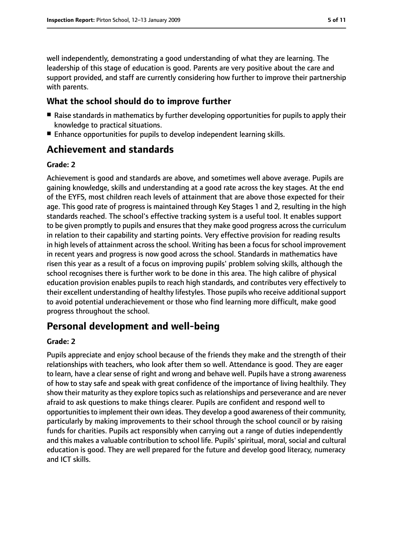well independently, demonstrating a good understanding of what they are learning. The leadership of this stage of education is good. Parents are very positive about the care and support provided, and staff are currently considering how further to improve their partnership with parents.

#### **What the school should do to improve further**

- Raise standards in mathematics by further developing opportunities for pupils to apply their knowledge to practical situations.
- Enhance opportunities for pupils to develop independent learning skills.

# **Achievement and standards**

#### **Grade: 2**

Achievement is good and standards are above, and sometimes well above average. Pupils are gaining knowledge, skills and understanding at a good rate across the key stages. At the end of the EYFS, most children reach levels of attainment that are above those expected for their age. This good rate of progress is maintained through Key Stages 1 and 2, resulting in the high standards reached. The school's effective tracking system is a useful tool. It enables support to be given promptly to pupils and ensures that they make good progress across the curriculum in relation to their capability and starting points. Very effective provision for reading results in high levels of attainment across the school. Writing has been a focus for school improvement in recent years and progress is now good across the school. Standards in mathematics have risen this year as a result of a focus on improving pupils' problem solving skills, although the school recognises there is further work to be done in this area. The high calibre of physical education provision enables pupils to reach high standards, and contributes very effectively to their excellent understanding of healthy lifestyles. Those pupils who receive additional support to avoid potential underachievement or those who find learning more difficult, make good progress throughout the school.

# **Personal development and well-being**

#### **Grade: 2**

Pupils appreciate and enjoy school because of the friends they make and the strength of their relationships with teachers, who look after them so well. Attendance is good. They are eager to learn, have a clear sense of right and wrong and behave well. Pupils have a strong awareness of how to stay safe and speak with great confidence of the importance of living healthily. They show their maturity as they explore topics such as relationships and perseverance and are never afraid to ask questions to make things clearer. Pupils are confident and respond well to opportunities to implement their own ideas. They develop a good awareness of their community, particularly by making improvements to their school through the school council or by raising funds for charities. Pupils act responsibly when carrying out a range of duties independently and this makes a valuable contribution to school life. Pupils' spiritual, moral, social and cultural education is good. They are well prepared for the future and develop good literacy, numeracy and ICT skills.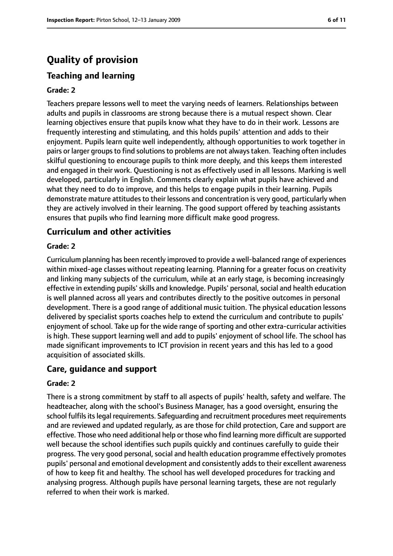# **Quality of provision**

## **Teaching and learning**

#### **Grade: 2**

Teachers prepare lessons well to meet the varying needs of learners. Relationships between adults and pupils in classrooms are strong because there is a mutual respect shown. Clear learning objectives ensure that pupils know what they have to do in their work. Lessons are frequently interesting and stimulating, and this holds pupils' attention and adds to their enjoyment. Pupils learn quite well independently, although opportunities to work together in pairs or larger groups to find solutions to problems are not always taken. Teaching often includes skilful questioning to encourage pupils to think more deeply, and this keeps them interested and engaged in their work. Questioning is not as effectively used in all lessons. Marking is well developed, particularly in English. Comments clearly explain what pupils have achieved and what they need to do to improve, and this helps to engage pupils in their learning. Pupils demonstrate mature attitudes to their lessons and concentration is very good, particularly when they are actively involved in their learning. The good support offered by teaching assistants ensures that pupils who find learning more difficult make good progress.

#### **Curriculum and other activities**

#### **Grade: 2**

Curriculum planning has been recently improved to provide a well-balanced range of experiences within mixed-age classes without repeating learning. Planning for a greater focus on creativity and linking many subjects of the curriculum, while at an early stage, is becoming increasingly effective in extending pupils' skills and knowledge. Pupils' personal, social and health education is well planned across all years and contributes directly to the positive outcomes in personal development. There is a good range of additional music tuition. The physical education lessons delivered by specialist sports coaches help to extend the curriculum and contribute to pupils' enjoyment of school. Take up for the wide range of sporting and other extra-curricular activities is high. These support learning well and add to pupils' enjoyment of school life. The school has made significant improvements to ICT provision in recent years and this has led to a good acquisition of associated skills.

#### **Care, guidance and support**

#### **Grade: 2**

There is a strong commitment by staff to all aspects of pupils' health, safety and welfare. The headteacher, along with the school's Business Manager, has a good oversight, ensuring the school fulfils its legal requirements. Safeguarding and recruitment procedures meet requirements and are reviewed and updated regularly, as are those for child protection, Care and support are effective. Those who need additional help or those who find learning more difficult are supported well because the school identifies such pupils quickly and continues carefully to guide their progress. The very good personal, social and health education programme effectively promotes pupils' personal and emotional development and consistently adds to their excellent awareness of how to keep fit and healthy. The school has well developed procedures for tracking and analysing progress. Although pupils have personal learning targets, these are not regularly referred to when their work is marked.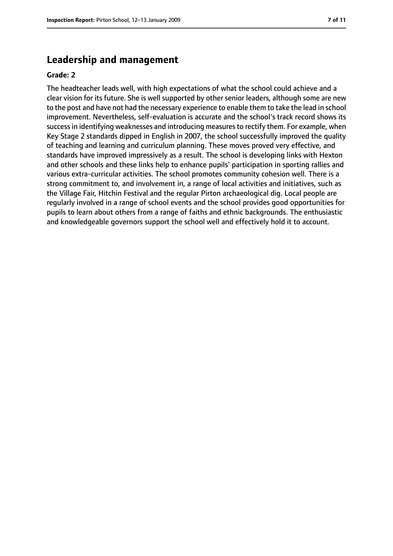## **Leadership and management**

#### **Grade: 2**

The headteacher leads well, with high expectations of what the school could achieve and a clear vision for its future. She is well supported by other senior leaders, although some are new to the post and have not had the necessary experience to enable them to take the lead in school improvement. Nevertheless, self-evaluation is accurate and the school's track record shows its success in identifying weaknesses and introducing measures to rectify them. For example, when Key Stage 2 standards dipped in English in 2007, the school successfully improved the quality of teaching and learning and curriculum planning. These moves proved very effective, and standards have improved impressively as a result. The school is developing links with Hexton and other schools and these links help to enhance pupils' participation in sporting rallies and various extra-curricular activities. The school promotes community cohesion well. There is a strong commitment to, and involvement in, a range of local activities and initiatives, such as the Village Fair, Hitchin Festival and the regular Pirton archaeological dig. Local people are regularly involved in a range of school events and the school provides good opportunities for pupils to learn about others from a range of faiths and ethnic backgrounds. The enthusiastic and knowledgeable governors support the school well and effectively hold it to account.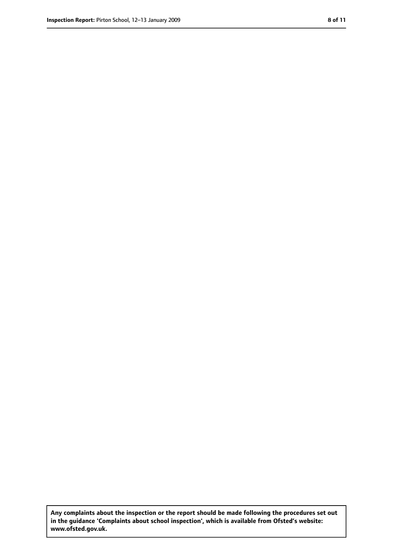**Any complaints about the inspection or the report should be made following the procedures set out in the guidance 'Complaints about school inspection', which is available from Ofsted's website: www.ofsted.gov.uk.**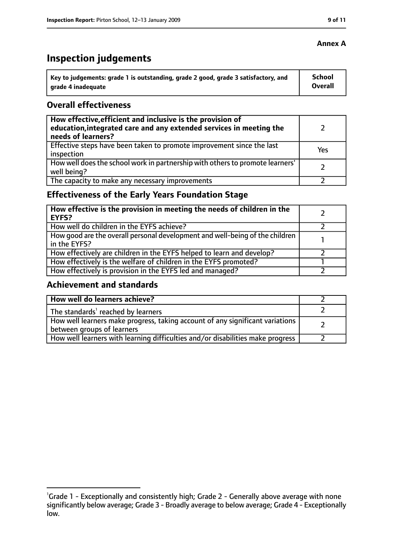# **Inspection judgements**

| $\lq$ Key to judgements: grade 1 is outstanding, grade 2 good, grade 3 satisfactory, and | <b>School</b> |
|------------------------------------------------------------------------------------------|---------------|
| arade 4 inadequate                                                                       | Overall       |

## **Overall effectiveness**

| How effective, efficient and inclusive is the provision of<br>education, integrated care and any extended services in meeting the<br>needs of learners? |     |
|---------------------------------------------------------------------------------------------------------------------------------------------------------|-----|
| Effective steps have been taken to promote improvement since the last<br>inspection                                                                     | Yes |
| How well does the school work in partnership with others to promote learners'<br>well being?                                                            |     |
| The capacity to make any necessary improvements                                                                                                         |     |

# **Effectiveness of the Early Years Foundation Stage**

| How effective is the provision in meeting the needs of children in the<br><b>EYFS?</b>       |  |
|----------------------------------------------------------------------------------------------|--|
| How well do children in the EYFS achieve?                                                    |  |
| How good are the overall personal development and well-being of the children<br>in the EYFS? |  |
| How effectively are children in the EYFS helped to learn and develop?                        |  |
| How effectively is the welfare of children in the EYFS promoted?                             |  |
| How effectively is provision in the EYFS led and managed?                                    |  |

#### **Achievement and standards**

| How well do learners achieve?                                                                               |  |
|-------------------------------------------------------------------------------------------------------------|--|
| The standards <sup>1</sup> reached by learners                                                              |  |
| How well learners make progress, taking account of any significant variations<br>between groups of learners |  |
| How well learners with learning difficulties and/or disabilities make progress                              |  |

## **Annex A**

<sup>&</sup>lt;sup>1</sup>Grade 1 - Exceptionally and consistently high; Grade 2 - Generally above average with none significantly below average; Grade 3 - Broadly average to below average; Grade 4 - Exceptionally low.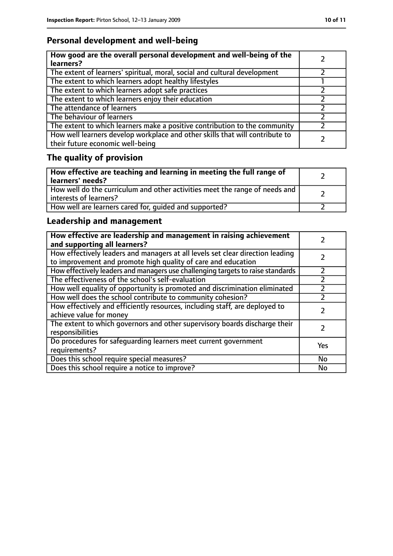# **Personal development and well-being**

| How good are the overall personal development and well-being of the<br>learners?                                 |  |
|------------------------------------------------------------------------------------------------------------------|--|
| The extent of learners' spiritual, moral, social and cultural development                                        |  |
| The extent to which learners adopt healthy lifestyles                                                            |  |
| The extent to which learners adopt safe practices                                                                |  |
| The extent to which learners enjoy their education                                                               |  |
| The attendance of learners                                                                                       |  |
| The behaviour of learners                                                                                        |  |
| The extent to which learners make a positive contribution to the community                                       |  |
| How well learners develop workplace and other skills that will contribute to<br>their future economic well-being |  |

# **The quality of provision**

| How effective are teaching and learning in meeting the full range of<br>learners' needs?              |  |
|-------------------------------------------------------------------------------------------------------|--|
| How well do the curriculum and other activities meet the range of needs and<br>interests of learners? |  |
| How well are learners cared for, quided and supported?                                                |  |

# **Leadership and management**

| How effective are leadership and management in raising achievement<br>and supporting all learners?                                              |     |
|-------------------------------------------------------------------------------------------------------------------------------------------------|-----|
| How effectively leaders and managers at all levels set clear direction leading<br>to improvement and promote high quality of care and education |     |
| How effectively leaders and managers use challenging targets to raise standards                                                                 |     |
| The effectiveness of the school's self-evaluation                                                                                               |     |
| How well equality of opportunity is promoted and discrimination eliminated                                                                      |     |
| How well does the school contribute to community cohesion?                                                                                      |     |
| How effectively and efficiently resources, including staff, are deployed to<br>achieve value for money                                          |     |
| The extent to which governors and other supervisory boards discharge their<br>responsibilities                                                  |     |
| Do procedures for safequarding learners meet current government<br>requirements?                                                                | Yes |
| Does this school require special measures?                                                                                                      | No  |
| Does this school require a notice to improve?                                                                                                   | No  |